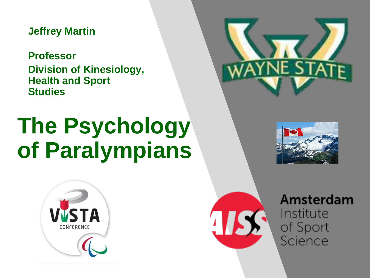**Jeffrey Martin**

**Professor Division of Kinesiology, Health and Sport Studies**

## **The Psychology of Paralympians**









Amsterdam Institute of Sport Science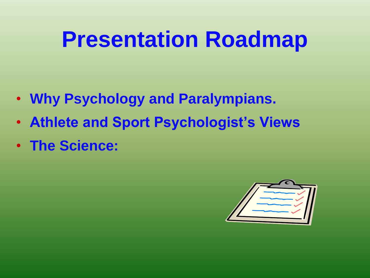## **Presentation Roadmap**

- **Why Psychology and Paralympians.**
- **Athlete and Sport Psychologist's Views**
- **The Science:**

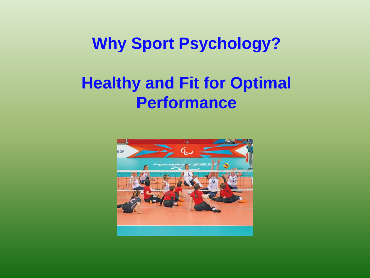## **Why Sport Psychology?**

## **Healthy and Fit for Optimal Performance**

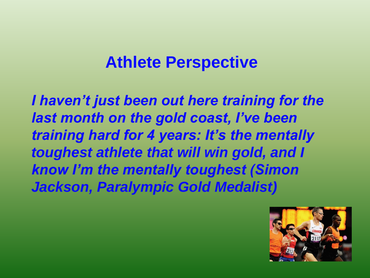## **Athlete Perspective**

*I haven't just been out here training for the last month on the gold coast, I've been training hard for 4 years: It's the mentally toughest athlete that will win gold, and I know I'm the mentally toughest (Simon Jackson, Paralympic Gold Medalist)*

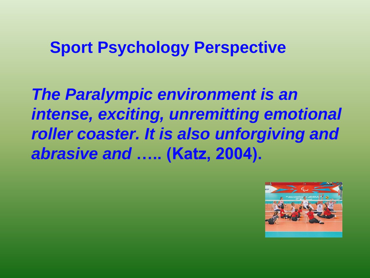### **Sport Psychology Perspective**

*The Paralympic environment is an intense, exciting, unremitting emotional roller coaster. It is also unforgiving and abrasive and* **….. (Katz, 2004).**

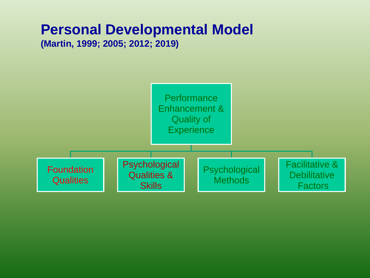## **Personal Developmental Model**

**(Martin, 1999; 2005; 2012; 2019)**

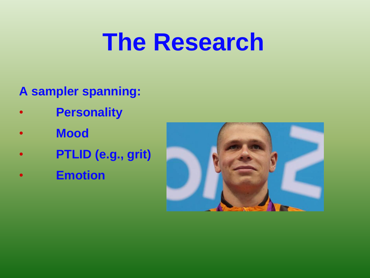## **The Research**

- **A sampler spanning:**
- **Personality**
- **Mood**
- **PTLID (e.g., grit)**
- **Emotion**

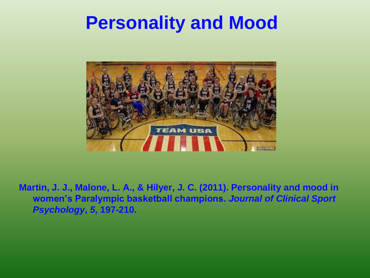## **Personality and Mood**



**Martin, J. J., Malone, L. A., & Hilyer, J. C. (2011). Personality and mood in women's Paralympic basketball champions.** *Journal of Clinical Sport Psychology***,** *5***, 197-210.**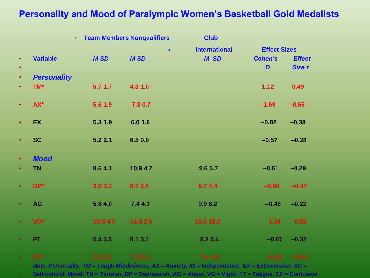#### **Personality and Mood of Paralympic Women's Basketball Gold Medalists**

|           |                    | $\bullet$ . | <b>Team Members Nonqualifiers</b> | <b>Club</b>          |                     |               |
|-----------|--------------------|-------------|-----------------------------------|----------------------|---------------------|---------------|
|           |                    |             | $\lambda$                         | <b>International</b> | <b>Effect Sizes</b> |               |
| $\bullet$ | <b>Variable</b>    | <b>MSD</b>  | <b>MSD</b>                        | M SD                 | <b>Cohen's</b>      | <b>Effect</b> |
| $\bullet$ |                    |             |                                   |                      | D                   | Size r        |
| $\bullet$ | <b>Personality</b> |             |                                   |                      |                     |               |
| $\bullet$ | TM*                | 5.71.7      | 4.3 1.0                           |                      | 1.12                | 0.49          |
| $\bullet$ | AX*                | 5.6 1.9     | 7.8 0.7                           |                      | $-1.69$             | $-0.65$       |
| $\bullet$ | <b>EX</b>          | 5.3 1.9     | 6.0 1.0                           |                      | $-0.82$             | $-0.38$       |
| $\bullet$ | <b>SC</b>          | 5.22.1      | 6.50.9                            |                      | $-0.57$             | $-0.28$       |
| $\bullet$ | <b>Mood</b>        |             |                                   |                      |                     |               |
| $\bullet$ | <b>TN</b>          | 8.64.1      | 10.9 4.2                          | 9.6 5.7              | $-0.61$             | $-0.29$       |
| $\bullet$ | $DP*$              | 3.9 3.2     | 6.7 2.5                           | 8.7 4.4              | $-0.98$             | $-0.44$       |
| $\bullet$ | <b>AG</b>          | 5.84.0      | 7.4 4.3                           | 9.96.2               | $-0.46$             | $-0.22$       |
| $\bullet$ | VG*                | 19.5 4.3    | 14.8 2.6                          | 15.6 18.5            | 1.34                | 0.56          |
| $\bullet$ | FT.                | 5.4 3.5     | 8.1 3.2                           | 8.2 5.4              | $-0.67$             | $-0.32$       |
|           | $CF*$              | 5.52.2      | 7.52.3                            | 7.4 4.0              | $-0.91$             | $-0.41$       |

• *Note. Personality: TM = Tough Mindedness, AX = Anxiety, IN = Independence, EX = Extraversion, SC =*

• **Self-control. Mood: TN = Tension, DP = Depression, AG = Anger, VG = Vigor, FT = Fatigue, CF = Confusion.**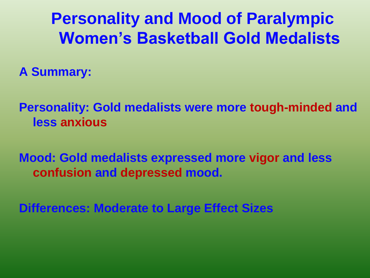**Personality and Mood of Paralympic Women's Basketball Gold Medalists**

**A Summary:**

**Personality: Gold medalists were more tough-minded and less anxious**

**Mood: Gold medalists expressed more vigor and less confusion and depressed mood.**

**Differences: Moderate to Large Effect Sizes**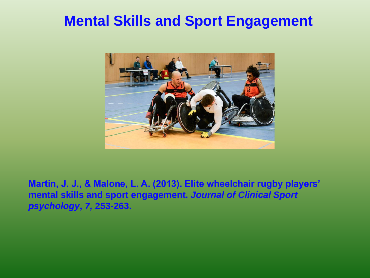### **Mental Skills and Sport Engagement**



**Martin, J. J., & Malone, L. A. (2013). Elite wheelchair rugby players' mental skills and sport engagement.** *Journal of Clinical Sport psychology***,** *7,* **253-263.**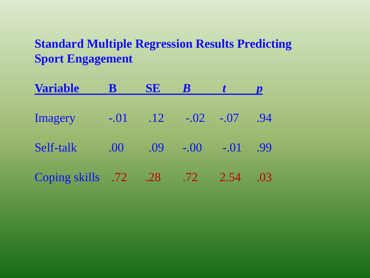#### **Standard Multiple Regression Results Predicting Sport Engagement**

| <b>Variable</b>   | B      | <b>SE</b> |                  |        |     |
|-------------------|--------|-----------|------------------|--------|-----|
| <b>Imagery</b>    | $-.01$ | .12       | $-.02$           | $-.07$ | .94 |
| Self-talk         | .00    | .09       | $-.00$           | $-.01$ | .99 |
| Coping skills .72 |        | .28       | .72 <sub>2</sub> | 2.54   | .03 |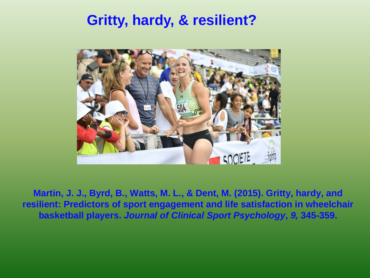### **Gritty, hardy, & resilient?**



**Martin, J. J., Byrd, B., Watts, M. L., & Dent, M. (2015). Gritty, hardy, and resilient: Predictors of sport engagement and life satisfaction in wheelchair basketball players.** *Journal of Clinical Sport Psychology***,** *9,* **345-359.**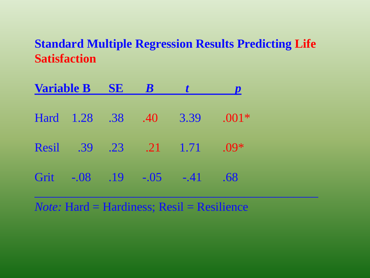#### **Standard Multiple Regression Results Predicting Life Satisfaction**

| <b>Variable B SE</b> | $\overline{B}$ |                         |         |
|----------------------|----------------|-------------------------|---------|
|                      |                | Hard 1.28 .38 .40 3.39  | $.001*$ |
|                      |                | Resil .39 .23 .21 1.71  | $.09*$  |
|                      |                | Grit -.08 .19 -.05 -.41 | .68     |

*Note:* Hard = Hardiness; Resil = Resilience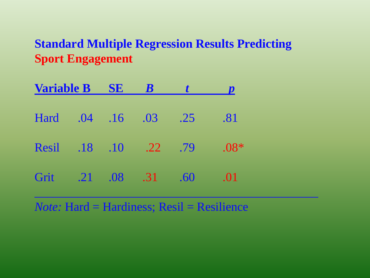#### **Standard Multiple Regression Results Predicting Sport Engagement**

| <b>Variable B SE</b> |  | $\boldsymbol{B}$ |                       |                             |        |  |
|----------------------|--|------------------|-----------------------|-----------------------------|--------|--|
| Hard                 |  | $.04$ .16        | 0.03                  | $\overline{\phantom{0}}.25$ | .81    |  |
|                      |  |                  | Resil .18 .10 .22 .79 |                             | $.08*$ |  |
| Grit .21 .08         |  |                  | .31                   | .60                         | .01    |  |

*Note:* Hard = Hardiness; Resil = Resilience

 $\overline{\phantom{a}}$  , and the contract of the contract of the contract of the contract of the contract of the contract of the contract of the contract of the contract of the contract of the contract of the contract of the contrac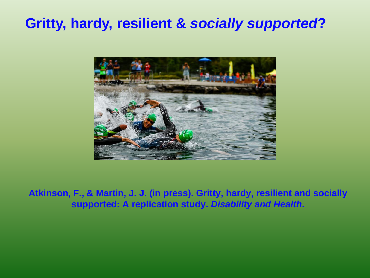### **Gritty, hardy, resilient &** *socially supported***?**



**Atkinson, F., & Martin, J. J. (in press). Gritty, hardy, resilient and socially supported: A replication study.** *Disability and Health***.**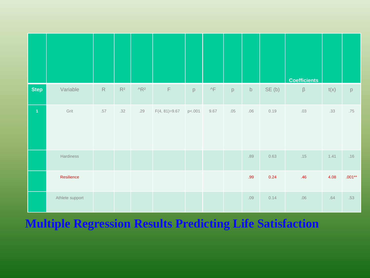|                |                 |             |       |                                      |                 |        |                     |     |             |       | <b>Coefficients</b> |      |          |
|----------------|-----------------|-------------|-------|--------------------------------------|-----------------|--------|---------------------|-----|-------------|-------|---------------------|------|----------|
| <b>Step</b>    | Variable        | $\mathsf R$ | $R^2$ | $^{\prime}$ <sub>R<sup>2</sup></sub> | $\mathsf F$     | p      | $\wedge \mathsf{F}$ | p   | $\mathsf b$ | SE(b) | $\beta$             | t(x) | p        |
| $\overline{1}$ | Grit            | $.57$       | .32   | .29                                  | $F(4, 81)=9.67$ | p<.001 | 9.67                | .05 | .06         | 0.19  | .03                 | .33  | .75      |
|                | Hardiness       |             |       |                                      |                 |        |                     |     | .89         | 0.63  | .15                 | 1.41 | .16      |
|                | Resilience      |             |       |                                      |                 |        |                     |     | .99         | 0.24  | .46                 | 4.08 | $.001**$ |
|                | Athlete support |             |       |                                      |                 |        |                     |     | .09         | 0.14  | .06                 | .64  | .53      |

#### **Multiple Regression Results Predicting Life Satisfaction**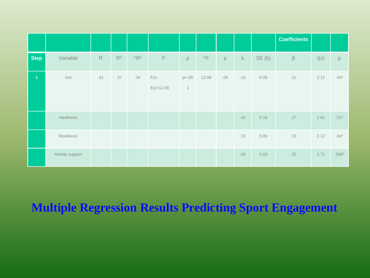|                |                 |     |       |                                      |                       |                      |                     |     |             |       | <b>Coefficients</b> |      |         |
|----------------|-----------------|-----|-------|--------------------------------------|-----------------------|----------------------|---------------------|-----|-------------|-------|---------------------|------|---------|
| <b>Step</b>    | Variable        | R   | $R^2$ | $^{\prime}$ <sub>R<sup>2</sup></sub> | $\mathsf F$           | p                    | $\wedge \mathsf{F}$ | p   | $\mathsf b$ | SE(b) | $\beta$             | t(x) | p       |
| $\overline{1}$ | Grit            | .61 | .37   | .34                                  | F(4,<br>$81) = 12.08$ | p<.00<br>$\mathbf 1$ | 12.08               | .05 | .10         | 0.05  | .21                 | 2.12 | $.04*$  |
|                | Hardiness       |     |       |                                      |                       |                      |                     |     | .42         | 0.16  | .27                 | 2.61 | $.01*$  |
|                | Resilience      |     |       |                                      |                       |                      |                     |     | .13         | 0.06  | .23                 | 2.12 | $.04*$  |
|                | Athlete support |     |       |                                      |                       |                      |                     |     | .09         | 0.03  | .25                 | 2.71 | $.008*$ |

#### **Multiple Regression Results Predicting Sport Engagement**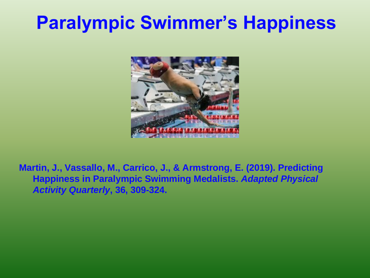## **Paralympic Swimmer's Happiness**



**Martin, J., Vassallo, M., Carrico, J., & Armstrong, E. (2019). Predicting Happiness in Paralympic Swimming Medalists.** *Adapted Physical Activity Quarterly***, 36, 309-324.**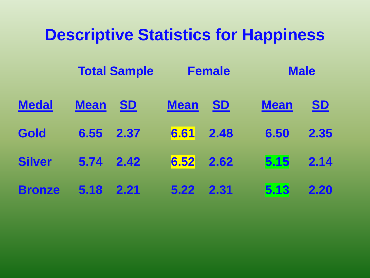## **Descriptive Statistics for Happiness**

|               |             | <b>Total Sample</b> |             | <b>Female</b> |             | <b>Male</b> |
|---------------|-------------|---------------------|-------------|---------------|-------------|-------------|
| <b>Medal</b>  | <b>Mean</b> | <b>SD</b>           | <b>Mean</b> | <b>SD</b>     | <b>Mean</b> | <u>SD</u>   |
| Gold          | 6.55        | 2.37                | 6.61        | 2.48          | 6.50        | 2.35        |
| <b>Silver</b> | 5.74        | 2.42                | 6.52        | 2.62          | 5.15        | 2.14        |
| <b>Bronze</b> | 5.18        | 2.21                | 5.22        | 2.31          | 5.13        | 2.20        |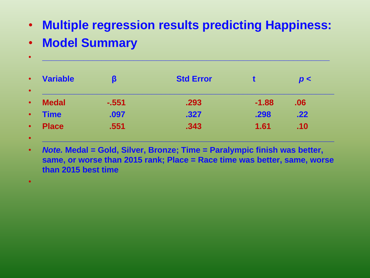- **Multiple regression results predicting Happiness:**
- **Model Summary**

| <b>Variable</b> | ß       | <b>Std Error</b> |         | p<  |
|-----------------|---------|------------------|---------|-----|
| <b>Medal</b>    | $-.551$ | .293             | $-1.88$ | .06 |
| <b>Time</b>     | .097    | .327             | .298    | .22 |
| <b>Place</b>    | .551    | .343             | 1.61    | .10 |

• *Note.* **Medal = Gold, Silver, Bronze; Time = Paralympic finish was better, same, or worse than 2015 rank; Place = Race time was better, same, worse than 2015 best time** 

• **\_\_\_\_\_\_\_\_\_\_\_\_\_\_\_\_\_\_\_\_\_\_\_\_\_\_\_\_\_\_\_\_\_\_\_\_\_\_\_\_\_\_\_\_\_\_\_\_\_\_\_\_\_\_\_\_\_\_\_\_\_\_\_\_**

•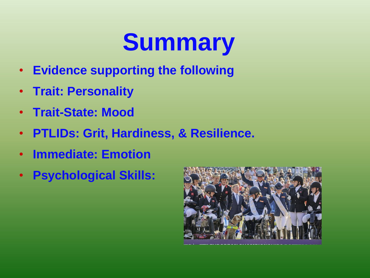# **Summary**

- **Evidence supporting the following**
- **Trait: Personality**
- **Trait-State: Mood**
- **PTLIDs: Grit, Hardiness, & Resilience.**
- **Immediate: Emotion**
- **Psychological Skills:**

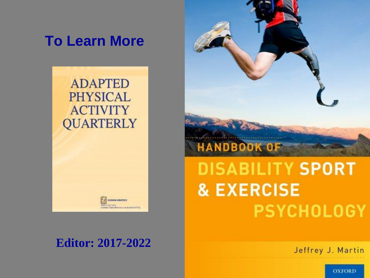### **To Learn More**

**ADAPTED PHYSICAL ACTIVITY QUARTERLY** 



**HOMAN KINERCH** 



# **& EXERCISE PSYCHOLOGY**

Jeffrey J. Martin

**OXFORD**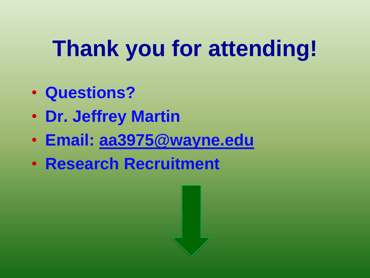# **Thank you for attending!**

- **Questions?**
- **Dr. Jeffrey Martin**
- **Email: [aa3975@wayne.edu](mailto:aa3975@wayne.edu)**
- **Research Recruitment**